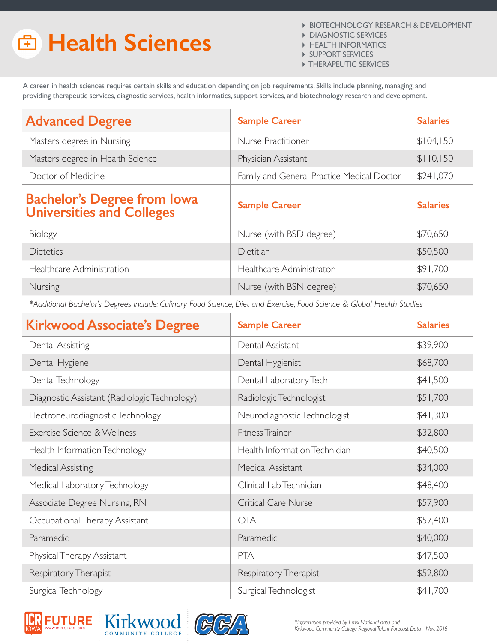## **Health Sciences**

- BIOTECHNOLOGY RESEARCH & DEVELOPMENT
- **DIAGNOSTIC SERVICES**
- **HEALTH INFORMATICS**
- **SUPPORT SERVICES**
- **FIHERAPEUTIC SERVICES**

A career in health sciences requires certain skills and education depending on job requirements. Skills include planning, managing, and providing therapeutic services, diagnostic services, health informatics, support services, and biotechnology research and development.

| <b>Advanced Degree</b>                                          | <b>Sample Career</b>                       | <b>Salaries</b> |
|-----------------------------------------------------------------|--------------------------------------------|-----------------|
| Masters degree in Nursing                                       | Nurse Practitioner                         | \$104,150       |
| Masters degree in Health Science                                | Physician Assistant                        | \$110,150       |
| Doctor of Medicine                                              | Family and General Practice Medical Doctor | \$241,070       |
| <b>Bachelor's Degree from Iowa</b><br>Universities and Colleges | <b>Sample Career</b>                       | <b>Salaries</b> |
| Biology                                                         | Nurse (with BSD degree)                    | \$70,650        |
| <b>Dietetics</b>                                                | Dietitian                                  | \$50,500        |
| Healthcare Administration                                       | Healthcare Administrator                   | \$91,700        |
| Nursing                                                         | Nurse (with BSN degree)                    | \$70,650        |

*\*Additional Bachelor's Degrees include: Culinary Food Science, Diet and Exercise, Food Science & Global Health Studies*

| <b>Kirkwood Associate's Degree</b>           | <b>Sample Career</b>          | <b>Salaries</b> |
|----------------------------------------------|-------------------------------|-----------------|
| Dental Assisting                             | Dental Assistant              | \$39,900        |
| Dental Hygiene                               | Dental Hygienist              | \$68,700        |
| Dental Technology                            | Dental Laboratory Tech        | \$41,500        |
| Diagnostic Assistant (Radiologic Technology) | Radiologic Technologist       | \$51,700        |
| Electroneurodiagnostic Technology            | Neurodiagnostic Technologist  | \$41,300        |
| Exercise Science & Wellness                  | Fitness Trainer               | \$32,800        |
| Health Information Technology                | Health Information Technician | \$40,500        |
| <b>Medical Assisting</b>                     | Medical Assistant             | \$34,000        |
| Medical Laboratory Technology                | Clinical Lab Technician       | \$48,400        |
| Associate Degree Nursing, RN                 | <b>Critical Care Nurse</b>    | \$57,900        |
| Occupational Therapy Assistant               | <b>OTA</b>                    | \$57,400        |
| Paramedic                                    | Paramedic                     | \$40,000        |
| Physical Therapy Assistant                   | <b>PTA</b>                    | \$47,500        |
| Respiratory Therapist                        | Respiratory Therapist         | \$52,800        |
| Surgical Technology                          | Surgical Technologist         | \$41,700        |